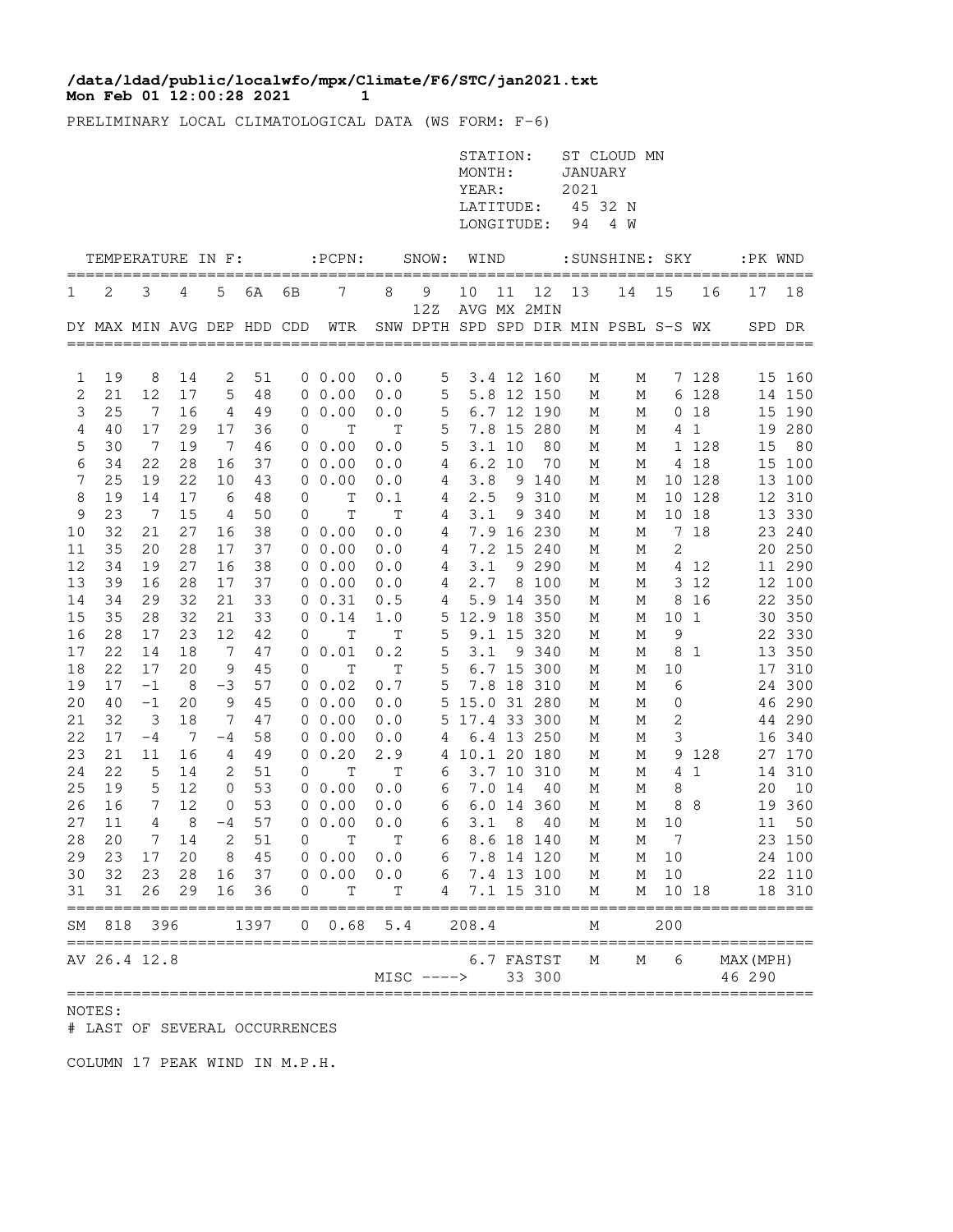## **Mon Feb 01 12:00:28 2021** 1 **/data/ldad/public/localwfo/mpx/Climate/F6/STC/jan2021.txt**

PRELIMINARY LOCAL CLIMATOLOGICAL DATA (WS FORM: F-6)

|        |                            |                       |          |                 |          |                |                            |              |              | STATION:<br>MONTH:<br>YEAR:<br>LATITUDE:<br>LONGITUDE: |        |                          | JANUARY<br>2021<br>45 32 N<br>94 | ST CLOUD MN<br>4 W                   |                 |                          |               |                  |
|--------|----------------------------|-----------------------|----------|-----------------|----------|----------------|----------------------------|--------------|--------------|--------------------------------------------------------|--------|--------------------------|----------------------------------|--------------------------------------|-----------------|--------------------------|---------------|------------------|
|        | TEMPERATURE IN F:          |                       |          |                 |          |                | $:$ PCPN $:$               |              | SNOW:        | WIND                                                   |        |                          |                                  | :SUNSHINE: SKY                       |                 |                          | :PK WND       |                  |
| 1      | 2                          | 3                     | 4        | 5               | 6A       | 6В             | 7                          | 8            | 9            | 10                                                     | 11     | 12                       | 13                               | 14                                   | 15              | 16                       | 17            | 18               |
|        | DY MAX MIN AVG DEP HDD CDD |                       |          |                 |          |                | WTR                        |              | 12Z          | AVG MX 2MIN                                            |        |                          |                                  | SNW DPTH SPD SPD DIR MIN PSBL S-S WX |                 |                          |               | SPD DR           |
|        |                            |                       |          |                 |          |                |                            |              |              |                                                        |        |                          |                                  |                                      |                 |                          |               |                  |
| 1      | 19                         | 8                     | 14       | 2               | 51       |                | $0\;\;0.00$                | 0.0          | 5            |                                                        |        | 3.4 12 160               | М                                | М                                    |                 | 7 128                    |               | 15 160           |
| 2<br>3 | 21<br>25                   | 12<br>$7\phantom{.0}$ | 17<br>16 | 5               | 48<br>49 |                | $0\;\;0.00$<br>$0\;\;0.00$ | 0.0          | 5            |                                                        |        | 5.8 12 150               | М                                | М                                    |                 | 6 128<br>0 <sub>18</sub> |               | 14 150           |
| 4      | 40                         | 17                    | 29       | 4<br>17         | 36       | 0              | $\mathbf T$                | 0.0<br>T     | 5<br>5       |                                                        |        | 6.7 12 190<br>7.8 15 280 | М                                | М                                    |                 | 4 <sub>1</sub>           |               | 15 190<br>19 280 |
| 5      | 30                         | -7                    | 19       | $7\phantom{.0}$ | 46       |                | $0\;\;0.00$                | 0.0          | 5            |                                                        | 3.110  | 80                       | М<br>М                           | М<br>М                               |                 | 1 128                    | 15            | 80               |
| 6      | 34                         | 22                    | 28       | 16              | 37       |                | $0\ 0.00$                  | 0.0          | 4            |                                                        | 6.2 10 | 70                       | М                                | М                                    |                 | 4 18                     |               | 15 100           |
| 7      | 25                         | 19                    | 22       | 10              | 43       |                | $0\;\;0.00$                | 0.0          | 4            | 3.8                                                    |        | 9 140                    | М                                | М                                    |                 | 10 128                   |               | 13 100           |
| 8      | 19                         | 14                    | 17       | 6               | 48       | 0              | Т                          | 0.1          | 4            | 2.5                                                    |        | 9 310                    | М                                | М                                    |                 | 10 128                   |               | 12 310           |
| 9      | 23                         | -7                    | 15       | 4               | 50       | 0              | Т                          | Т            | 4            | 3.1                                                    |        | 9 340                    | М                                | М                                    |                 | 10 18                    |               | 13 330           |
| 10     | 32                         | 21                    | 27       | 16              | 38       |                | $0\;\;0.00$                | 0.0          | 4            |                                                        |        | 7.9 16 230               | М                                | Μ                                    |                 | 7 18                     |               | 23 240           |
| 11     | 35                         | 20                    | 28       | 17              | 37       |                | $0\;\;0.00$                | 0.0          | 4            |                                                        |        | 7.2 15 240               | М                                | М                                    | $\mathbf{2}$    |                          |               | 20 250           |
| 12     | 34                         | 19                    | 27       | 16              | 38       |                | $0\ 0.00$                  | 0.0          | 4            | 3.1                                                    |        | 9 2 9 0                  | М                                | М                                    |                 | 4 12                     |               | 11 290           |
| 13     | 39                         | 16                    | 28       | 17              | 37       |                | $0\;\;0.00$                | 0.0          | 4            |                                                        |        | 2.7 8 100                | М                                | М                                    |                 | 3 12                     |               | 12 100           |
| 14     | 34                         | 29                    | 32       | 21              | 33       |                | 0 0.31                     | 0.5          | 4            |                                                        |        | 5.9 14 350               | М                                | М                                    | 8               | 16                       |               | 22 350           |
| 15     | 35                         | 28                    | 32       | 21              | 33       |                | 0 0.14                     | $1\, . \, 0$ |              | 5 12.9 18 350                                          |        |                          | М                                | М                                    | 10 <sub>1</sub> |                          |               | 30 350           |
| 16     | 28                         | 17                    | 23       | 12              | 42       | 0              | $\mathbf T$                | $\mathbf T$  | 5            |                                                        |        | 9.1 15 320               | М                                | М                                    | 9               |                          |               | 22 330           |
| 17     | 22                         | 14                    | 18       | $\overline{7}$  | 47       |                | 0 0.01                     | 0.2          | 5            | 3.1                                                    |        | 9 340                    | М                                | М                                    |                 | 81                       |               | 13 350           |
| 18     | 22                         | 17                    | 20       | 9               | 45       | 0              | T                          | $\mathbf T$  | 5            |                                                        |        | 6.7 15 300               | М                                | М                                    | 10              |                          |               | 17 310           |
| 19     | 17                         | $-1$                  | 8        | -3              | 57       |                | $0\;\;0.02$                | $0\,$ . $7$  | 5            |                                                        |        | 7.8 18 310               | М                                | М                                    | 6               |                          |               | 24 300           |
| 20     | 40                         | $-1$                  | 20       | 9               | 45       |                | $0\;\;0.00$                | 0.0          | 5            | 15.0 31 280                                            |        |                          | М                                | М                                    | 0               |                          |               | 46 290           |
| 21     | 32                         | 3                     | 18       | 7               | 47       |                | $0\;\;0.00$                | 0.0          | 5            | 17.4 33 300                                            |        |                          | М                                | М                                    | $\mathbf{2}$    |                          |               | 44 290           |
| 22     | 17                         | $-4$                  | 7        | -4              | 58       |                | $0\;\;0.00$                | 0.0          | 4            |                                                        |        | 6.4 13 250               | М                                | М                                    | 3               |                          |               | 16 340           |
| 23     | 21                         | 11                    | 16       | 4               | 49       |                | 0 0.20                     | 2.9          |              | 4 10.1 20 180                                          |        |                          | М                                | М                                    |                 | 9 1 2 8                  |               | 27 170           |
| 24     | 22                         | 5                     | 14       | 2               | 51       | 0              | Т                          | Т            | 6            |                                                        |        | 3.7 10 310               | М                                | М                                    |                 | 4 1                      |               | 14 310           |
| 25     | 19                         | 5                     | 12       | 0               | 53       |                | $0\;\;0.00$                | 0.0          | 6            |                                                        | 7.0 14 | 40                       | М                                | М                                    | 8               |                          | 20            | 10               |
| 26     | 16                         | 7                     | 12       | $\mathbf 0$     | 53       |                | $0\;\;0.00$                | 0.0          | 6            |                                                        |        | 6.0 14 360               | М                                | М                                    | 8               | - 8                      |               | 19 360           |
| 27     | 11                         | 4                     | 8        | $-4$            | 57       |                | $0\;\;0.00$                | 0.0          | 6            | 3.1                                                    | 8      | 40                       | М                                | М                                    | 10              |                          | 11            | 50               |
|        |                            |                       |          | 14 2            | 51       |                | $0$ T T                    |              |              | 6 8.6 18 140                                           |        |                          | M                                |                                      | M 7             |                          |               | 23 150           |
| 29     | 23                         | 17                    | 20       |                 | 8 45     |                | 0.00 0.0                   |              | 6            |                                                        |        | 7.8 14 120               | М                                | M                                    | 10              |                          |               | 24 100           |
| 30     | 32                         | 23                    | 28       |                 | 16 37    |                | $0\ 0.00$                  | 0.0          |              | 6 7.4 13 100                                           |        |                          | М                                | М                                    | 10              |                          |               | 22 110           |
| 31     | 31<br>========             | 26                    | 29       | 16              | 36       | 0              | T                          | Т            | 4            |                                                        |        | 7.1 15 310               | М                                | М                                    |                 | 10 18                    | ============= | 18 310           |
| SΜ     | 818                        | 396                   |          |                 | 1397     | $\overline{0}$ | $0.68$ 5.4                 |              |              | 208.4                                                  |        |                          | М                                |                                      | 200             |                          |               |                  |
|        | ==========<br>AV 26.4 12.8 |                       |          |                 |          |                |                            |              |              |                                                        |        | 6.7 FASTST               | М                                | М                                    | 6               |                          | MAX (MPH)     |                  |
|        |                            |                       |          |                 |          |                |                            |              | $MISC$ $---$ |                                                        |        | 33 300                   |                                  |                                      |                 |                          | 46 290        |                  |

NOTES:

# LAST OF SEVERAL OCCURRENCES

COLUMN 17 PEAK WIND IN M.P.H.